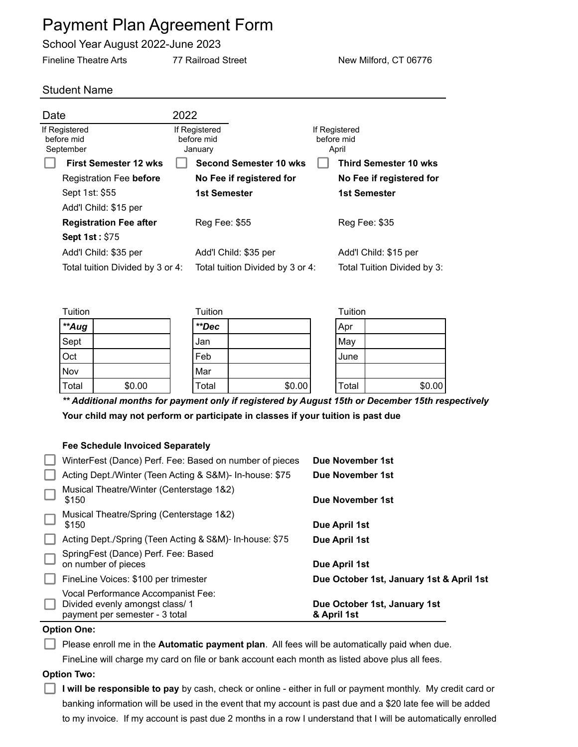# Payment Plan Agreement Form

School Year August 2022-June 2023

Fineline Theatre Arts **77 Railroad Street** New Milford, CT 06776

## Student Name

| 2022                                   |                                  |                                                                                                    |                                                                 |  |
|----------------------------------------|----------------------------------|----------------------------------------------------------------------------------------------------|-----------------------------------------------------------------|--|
| If Registered<br>before mid<br>January |                                  |                                                                                                    | April                                                           |  |
|                                        |                                  |                                                                                                    | <b>Third Semester 10 wks</b>                                    |  |
|                                        |                                  |                                                                                                    | No Fee if registered for                                        |  |
|                                        |                                  |                                                                                                    | 1st Semester                                                    |  |
|                                        |                                  |                                                                                                    |                                                                 |  |
| Reg Fee: \$55                          |                                  |                                                                                                    | Reg Fee: \$35                                                   |  |
|                                        |                                  |                                                                                                    |                                                                 |  |
|                                        |                                  |                                                                                                    | Add'l Child: \$15 per                                           |  |
|                                        |                                  |                                                                                                    | Total Tuition Divided by 3:                                     |  |
|                                        | Total tuition Divided by 3 or 4: | <b>Second Semester 10 wks</b><br>No Fee if registered for<br>1st Semester<br>Add'l Child: \$35 per | If Registered<br>before mid<br>Total tuition Divided by 3 or 4: |  |

| Tuition |        | Tuition |        | Tuition |        |
|---------|--------|---------|--------|---------|--------|
| **Aug   |        | **Dec   |        | Apr     |        |
| Sept    |        | Jan     |        | May     |        |
| Oct     |        | Feb     |        | June    |        |
| Nov     |        | Mar     |        |         |        |
| Total   | \$0.00 | Total   | \$0.00 | Total   | \$0.00 |

*\*\* Additional months for payment only if registered by August 15th or December 15th respectively* **Your child may not perform or participate in classes if your tuition is past due**

## **Fee Schedule Invoiced Separately**

| $\mathbb{R}^n$ | Vocal Performance Accompanist Fee:<br>Divided evenly amongst class/1 | Due October 1st, January 1st             |
|----------------|----------------------------------------------------------------------|------------------------------------------|
| ⊔              | FineLine Voices: \$100 per trimester                                 | Due October 1st, January 1st & April 1st |
| $\Box$         | SpringFest (Dance) Perf. Fee: Based<br>on number of pieces           | Due April 1st                            |
| H              | Acting Dept./Spring (Teen Acting & S&M)- In-house: \$75              | Due April 1st                            |
| $\Box$         | Musical Theatre/Spring (Centerstage 1&2)<br>\$150                    | Due April 1st                            |
| ⊑              | Musical Theatre/Winter (Centerstage 1&2)<br>\$150                    | Due November 1st                         |
|                | Acting Dept./Winter (Teen Acting & S&M)- In-house: \$75              | Due November 1st                         |
|                | WinterFest (Dance) Perf. Fee: Based on number of pieces              | Due November 1st                         |

### **Option One:**

Please enroll me in the **Automatic payment plan**. All fees will be automatically paid when due. FineLine will charge my card on file or bank account each month as listed above plus all fees.

#### **Option Two:**

**I will be responsible to pay** by cash, check or online - either in full or payment monthly. My credit card or banking information will be used in the event that my account is past due and a \$20 late fee will be added to my invoice. If my account is past due 2 months in a row I understand that I will be automatically enrolled